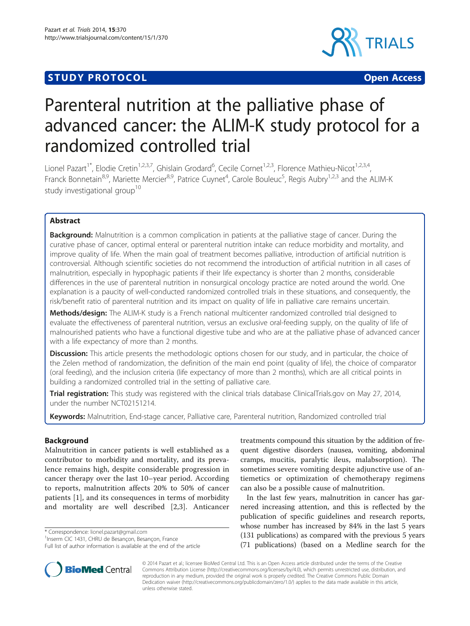## **STUDY PROTOCOL CONSUMING THE CONSUMING OPEN ACCESS**



# Parenteral nutrition at the palliative phase of advanced cancer: the ALIM-K study protocol for a randomized controlled trial

Lionel Pazart<sup>1\*</sup>, Elodie Cretin<sup>1,2,3,7</sup>, Ghislain Grodard<sup>6</sup>, Cecile Cornet<sup>1,2,3</sup>, Florence Mathieu-Nicot<sup>1,2,3,4</sup>, Franck Bonnetain<sup>8,9</sup>, Mariette Mercier<sup>8,9</sup>, Patrice Cuynet<sup>4</sup>, Carole Bouleuc<sup>5</sup>, Regis Aubry<sup>1,2,3</sup> and the ALIM-K study investigational group<sup>10</sup>

## Abstract

Background: Malnutrition is a common complication in patients at the palliative stage of cancer. During the curative phase of cancer, optimal enteral or parenteral nutrition intake can reduce morbidity and mortality, and improve quality of life. When the main goal of treatment becomes palliative, introduction of artificial nutrition is controversial. Although scientific societies do not recommend the introduction of artificial nutrition in all cases of malnutrition, especially in hypophagic patients if their life expectancy is shorter than 2 months, considerable differences in the use of parenteral nutrition in nonsurgical oncology practice are noted around the world. One explanation is a paucity of well-conducted randomized controlled trials in these situations, and consequently, the risk/benefit ratio of parenteral nutrition and its impact on quality of life in palliative care remains uncertain.

Methods/design: The ALIM-K study is a French national multicenter randomized controlled trial designed to evaluate the effectiveness of parenteral nutrition, versus an exclusive oral-feeding supply, on the quality of life of malnourished patients who have a functional digestive tube and who are at the palliative phase of advanced cancer with a life expectancy of more than 2 months.

**Discussion:** This article presents the methodologic options chosen for our study, and in particular, the choice of the Zelen method of randomization, the definition of the main end point (quality of life), the choice of comparator (oral feeding), and the inclusion criteria (life expectancy of more than 2 months), which are all critical points in building a randomized controlled trial in the setting of palliative care.

Trial registration: This study was registered with the clinical trials database ClinicalTrials.gov on May 27, 2014, under the number [NCT02151214.](https://clinicaltrials.gov/ct2/show/NCT02151214)

Keywords: Malnutrition, End-stage cancer, Palliative care, Parenteral nutrition, Randomized controlled trial

## Background

Malnutrition in cancer patients is well established as a contributor to morbidity and mortality, and its prevalence remains high, despite considerable progression in cancer therapy over the last 10–year period. According to reports, malnutrition affects 20% to 50% of cancer patients [[1\]](#page-10-0), and its consequences in terms of morbidity and mortality are well described [[2,3\]](#page-10-0). Anticancer

\* Correspondence: [lionel.pazart@gmail.com](mailto:lionel.pazart@gmail.com) <sup>1</sup>



In the last few years, malnutrition in cancer has garnered increasing attention, and this is reflected by the publication of specific guidelines and research reports, whose number has increased by 84% in the last 5 years (131 publications) as compared with the previous 5 years (71 publications) (based on a Medline search for the



© 2014 Pazart et al.; licensee BioMed Central Ltd. This is an Open Access article distributed under the terms of the Creative Commons Attribution License [\(http://creativecommons.org/licenses/by/4.0\)](http://creativecommons.org/licenses/by/4.0), which permits unrestricted use, distribution, and reproduction in any medium, provided the original work is properly credited. The Creative Commons Public Domain Dedication waiver [\(http://creativecommons.org/publicdomain/zero/1.0/](http://creativecommons.org/publicdomain/zero/1.0/)) applies to the data made available in this article, unless otherwise stated.

<sup>&</sup>lt;sup>1</sup>Inserm CIC 1431, CHRU de Besançon, Besançon, France

Full list of author information is available at the end of the article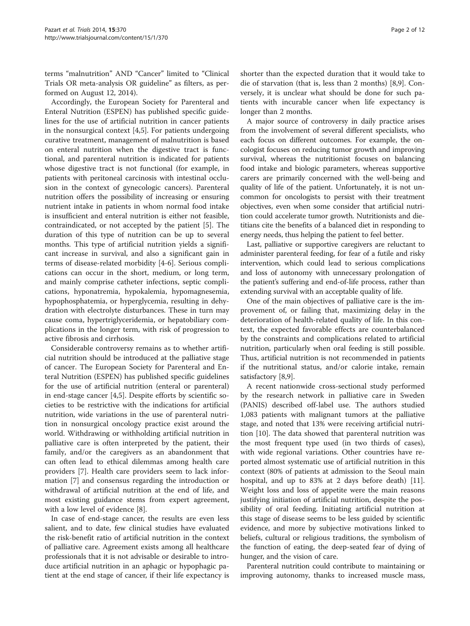terms "malnutrition" AND "Cancer" limited to "Clinical Trials OR meta-analysis OR guideline" as filters, as performed on August 12, 2014).

Accordingly, the European Society for Parenteral and Enteral Nutrition (ESPEN) has published specific guidelines for the use of artificial nutrition in cancer patients in the nonsurgical context [\[4,5](#page-10-0)]. For patients undergoing curative treatment, management of malnutrition is based on enteral nutrition when the digestive tract is functional, and parenteral nutrition is indicated for patients whose digestive tract is not functional (for example, in patients with peritoneal carcinosis with intestinal occlusion in the context of gynecologic cancers). Parenteral nutrition offers the possibility of increasing or ensuring nutrient intake in patients in whom normal food intake is insufficient and enteral nutrition is either not feasible, contraindicated, or not accepted by the patient [\[5](#page-10-0)]. The duration of this type of nutrition can be up to several months. This type of artificial nutrition yields a significant increase in survival, and also a significant gain in terms of disease-related morbidity [[4-6](#page-10-0)]. Serious complications can occur in the short, medium, or long term, and mainly comprise catheter infections, septic complications, hyponatremia, hypokalemia, hypomagnesemia, hypophosphatemia, or hyperglycemia, resulting in dehydration with electrolyte disturbances. These in turn may cause coma, hypertriglyceridemia, or hepatobiliary complications in the longer term, with risk of progression to active fibrosis and cirrhosis.

Considerable controversy remains as to whether artificial nutrition should be introduced at the palliative stage of cancer. The European Society for Parenteral and Enteral Nutrition (ESPEN) has published specific guidelines for the use of artificial nutrition (enteral or parenteral) in end-stage cancer [[4,5\]](#page-10-0). Despite efforts by scientific societies to be restrictive with the indications for artificial nutrition, wide variations in the use of parenteral nutrition in nonsurgical oncology practice exist around the world. Withdrawing or withholding artificial nutrition in palliative care is often interpreted by the patient, their family, and/or the caregivers as an abandonment that can often lead to ethical dilemmas among health care providers [[7\]](#page-10-0). Health care providers seem to lack information [\[7](#page-10-0)] and consensus regarding the introduction or withdrawal of artificial nutrition at the end of life, and most existing guidance stems from expert agreement, with a low level of evidence [\[8](#page-10-0)].

In case of end-stage cancer, the results are even less salient, and to date, few clinical studies have evaluated the risk-benefit ratio of artificial nutrition in the context of palliative care. Agreement exists among all healthcare professionals that it is not advisable or desirable to introduce artificial nutrition in an aphagic or hypophagic patient at the end stage of cancer, if their life expectancy is

shorter than the expected duration that it would take to die of starvation (that is, less than 2 months) [\[8,9](#page-10-0)]. Conversely, it is unclear what should be done for such patients with incurable cancer when life expectancy is longer than 2 months.

A major source of controversy in daily practice arises from the involvement of several different specialists, who each focus on different outcomes. For example, the oncologist focuses on reducing tumor growth and improving survival, whereas the nutritionist focuses on balancing food intake and biologic parameters, whereas supportive carers are primarily concerned with the well-being and quality of life of the patient. Unfortunately, it is not uncommon for oncologists to persist with their treatment objectives, even when some consider that artificial nutrition could accelerate tumor growth. Nutritionists and dietitians cite the benefits of a balanced diet in responding to energy needs, thus helping the patient to feel better.

Last, palliative or supportive caregivers are reluctant to administer parenteral feeding, for fear of a futile and risky intervention, which could lead to serious complications and loss of autonomy with unnecessary prolongation of the patient's suffering and end-of-life process, rather than extending survival with an acceptable quality of life.

One of the main objectives of palliative care is the improvement of, or failing that, maximizing delay in the deterioration of health-related quality of life. In this context, the expected favorable effects are counterbalanced by the constraints and complications related to artificial nutrition, particularly when oral feeding is still possible. Thus, artificial nutrition is not recommended in patients if the nutritional status, and/or calorie intake, remain satisfactory [[8](#page-10-0),[9\]](#page-10-0).

A recent nationwide cross-sectional study performed by the research network in palliative care in Sweden (PANIS) described off-label use. The authors studied 1,083 patients with malignant tumors at the palliative stage, and noted that 13% were receiving artificial nutrition [\[10](#page-10-0)]. The data showed that parenteral nutrition was the most frequent type used (in two thirds of cases), with wide regional variations. Other countries have reported almost systematic use of artificial nutrition in this context (80% of patients at admission to the Seoul main hospital, and up to 83% at 2 days before death) [\[11](#page-10-0)]. Weight loss and loss of appetite were the main reasons justifying initiation of artificial nutrition, despite the possibility of oral feeding. Initiating artificial nutrition at this stage of disease seems to be less guided by scientific evidence, and more by subjective motivations linked to beliefs, cultural or religious traditions, the symbolism of the function of eating, the deep-seated fear of dying of hunger, and the vision of care.

Parenteral nutrition could contribute to maintaining or improving autonomy, thanks to increased muscle mass,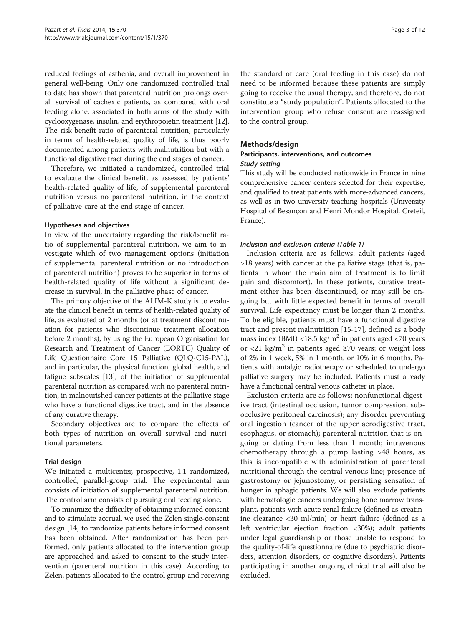reduced feelings of asthenia, and overall improvement in general well-being. Only one randomized controlled trial to date has shown that parenteral nutrition prolongs overall survival of cachexic patients, as compared with oral feeding alone, associated in both arms of the study with cyclooxygenase, insulin, and erythropoietin treatment [[12](#page-10-0)]. The risk-benefit ratio of parenteral nutrition, particularly in terms of health-related quality of life, is thus poorly documented among patients with malnutrition but with a functional digestive tract during the end stages of cancer.

Therefore, we initiated a randomized, controlled trial to evaluate the clinical benefit, as assessed by patients' health-related quality of life, of supplemental parenteral nutrition versus no parenteral nutrition, in the context of palliative care at the end stage of cancer.

#### Hypotheses and objectives

In view of the uncertainty regarding the risk/benefit ratio of supplemental parenteral nutrition, we aim to investigate which of two management options (initiation of supplemental parenteral nutrition or no introduction of parenteral nutrition) proves to be superior in terms of health-related quality of life without a significant decrease in survival, in the palliative phase of cancer.

The primary objective of the ALIM-K study is to evaluate the clinical benefit in terms of health-related quality of life, as evaluated at 2 months (or at treatment discontinuation for patients who discontinue treatment allocation before 2 months), by using the European Organisation for Research and Treatment of Cancer (EORTC) Quality of Life Questionnaire Core 15 Palliative (QLQ-C15-PAL), and in particular, the physical function, global health, and fatigue subscales [\[13\]](#page-10-0), of the initiation of supplemental parenteral nutrition as compared with no parenteral nutrition, in malnourished cancer patients at the palliative stage who have a functional digestive tract, and in the absence of any curative therapy.

Secondary objectives are to compare the effects of both types of nutrition on overall survival and nutritional parameters.

#### Trial design

We initiated a multicenter, prospective, 1:1 randomized, controlled, parallel-group trial. The experimental arm consists of initiation of supplemental parenteral nutrition. The control arm consists of pursuing oral feeding alone.

To minimize the difficulty of obtaining informed consent and to stimulate accrual, we used the Zelen single-consent design [[14](#page-10-0)] to randomize patients before informed consent has been obtained. After randomization has been performed, only patients allocated to the intervention group are approached and asked to consent to the study intervention (parenteral nutrition in this case). According to Zelen, patients allocated to the control group and receiving

the standard of care (oral feeding in this case) do not need to be informed because these patients are simply going to receive the usual therapy, and therefore, do not constitute a "study population". Patients allocated to the intervention group who refuse consent are reassigned to the control group.

#### Methods/design

#### Participants, interventions, and outcomes Study setting

This study will be conducted nationwide in France in nine comprehensive cancer centers selected for their expertise, and qualified to treat patients with more-advanced cancers, as well as in two university teaching hospitals (University Hospital of Besançon and Henri Mondor Hospital, Creteil, France).

#### Inclusion and exclusion criteria (Table [1\)](#page-3-0)

Inclusion criteria are as follows: adult patients (aged >18 years) with cancer at the palliative stage (that is, patients in whom the main aim of treatment is to limit pain and discomfort). In these patients, curative treatment either has been discontinued, or may still be ongoing but with little expected benefit in terms of overall survival. Life expectancy must be longer than 2 months. To be eligible, patients must have a functional digestive tract and present malnutrition [\[15](#page-10-0)-[17\]](#page-10-0), defined as a body mass index (BMI) <18.5 kg/m<sup>2</sup> in patients aged <70 years or <21 kg/m<sup>2</sup> in patients aged  $\geq$ 70 years; or weight loss of 2% in 1 week, 5% in 1 month, or 10% in 6 months. Patients with antalgic radiotherapy or scheduled to undergo palliative surgery may be included. Patients must already have a functional central venous catheter in place.

Exclusion criteria are as follows: nonfunctional digestive tract (intestinal occlusion, tumor compression, subocclusive peritoneal carcinosis); any disorder preventing oral ingestion (cancer of the upper aerodigestive tract, esophagus, or stomach); parenteral nutrition that is ongoing or dating from less than 1 month; intravenous chemotherapy through a pump lasting >48 hours, as this is incompatible with administration of parenteral nutritional through the central venous line; presence of gastrostomy or jejunostomy; or persisting sensation of hunger in aphagic patients. We will also exclude patients with hematologic cancers undergoing bone marrow transplant, patients with acute renal failure (defined as creatinine clearance <30 ml/min) or heart failure (defined as a left ventricular ejection fraction <30%); adult patients under legal guardianship or those unable to respond to the quality-of-life questionnaire (due to psychiatric disorders, attention disorders, or cognitive disorders). Patients participating in another ongoing clinical trial will also be excluded.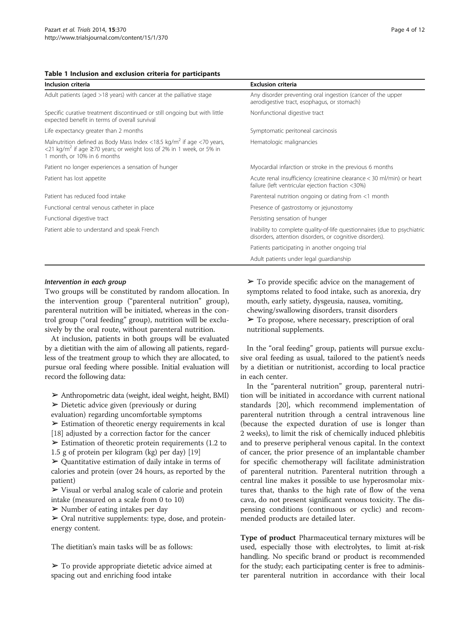#### <span id="page-3-0"></span>Table 1 Inclusion and exclusion criteria for participants

| Inclusion criteria                                                                                                                                                                                         | <b>Exclusion criteria</b>                                                                                                            |  |  |  |
|------------------------------------------------------------------------------------------------------------------------------------------------------------------------------------------------------------|--------------------------------------------------------------------------------------------------------------------------------------|--|--|--|
| Adult patients (aged >18 years) with cancer at the palliative stage                                                                                                                                        | Any disorder preventing oral ingestion (cancer of the upper<br>aerodigestive tract, esophagus, or stomach)                           |  |  |  |
| Specific curative treatment discontinued or still ongoing but with little<br>expected benefit in terms of overall survival                                                                                 | Nonfunctional digestive tract                                                                                                        |  |  |  |
| Life expectancy greater than 2 months                                                                                                                                                                      | Symptomatic peritoneal carcinosis                                                                                                    |  |  |  |
| Malnutrition defined as Body Mass Index <18.5 kg/m <sup>2</sup> if age <70 years,<br><21 kg/m <sup>2</sup> if age $\geq$ 70 years; or weight loss of 2% in 1 week, or 5% in<br>1 month, or 10% in 6 months | Hematologic malignancies                                                                                                             |  |  |  |
| Patient no longer experiences a sensation of hunger                                                                                                                                                        | Myocardial infarction or stroke in the previous 6 months                                                                             |  |  |  |
| Patient has lost appetite                                                                                                                                                                                  | Acute renal insufficiency (creatinine clearance < 30 ml/min) or heart<br>failure (left ventricular ejection fraction <30%)           |  |  |  |
| Patient has reduced food intake                                                                                                                                                                            | Parenteral nutrition ongoing or dating from <1 month                                                                                 |  |  |  |
| Functional central venous catheter in place                                                                                                                                                                | Presence of gastrostomy or jejunostomy                                                                                               |  |  |  |
| Functional digestive tract                                                                                                                                                                                 | Persisting sensation of hunger                                                                                                       |  |  |  |
| Patient able to understand and speak French                                                                                                                                                                | Inability to complete quality-of-life questionnaires (due to psychiatric<br>disorders, attention disorders, or cognitive disorders). |  |  |  |
|                                                                                                                                                                                                            | Patients participating in another ongoing trial                                                                                      |  |  |  |
|                                                                                                                                                                                                            | Adult patients under legal guardianship                                                                                              |  |  |  |

#### Intervention in each group

Two groups will be constituted by random allocation. In the intervention group ("parenteral nutrition" group), parenteral nutrition will be initiated, whereas in the control group ("oral feeding" group), nutrition will be exclusively by the oral route, without parenteral nutrition.

At inclusion, patients in both groups will be evaluated by a dietitian with the aim of allowing all patients, regardless of the treatment group to which they are allocated, to pursue oral feeding where possible. Initial evaluation will record the following data:

- ➢ Anthropometric data (weight, ideal weight, height, BMI)
- ➢ Dietetic advice given (previously or during
- evaluation) regarding uncomfortable symptoms

 $\triangleright$  Estimation of theoretic energy requirements in kcal

[[18](#page-10-0)] adjusted by a correction factor for the cancer

 $\triangleright$  Estimation of theoretic protein requirements (1.2 to

1.5 g of protein per kilogram (kg) per day) [[19](#page-10-0)]

 $\triangleright$  Quantitative estimation of daily intake in terms of calories and protein (over 24 hours, as reported by the patient)

➢ Visual or verbal analog scale of calorie and protein intake (measured on a scale from 0 to 10)

➢ Number of eating intakes per day

 $\triangleright$  Oral nutritive supplements: type, dose, and proteinenergy content.

The dietitian's main tasks will be as follows:

➢ To provide appropriate dietetic advice aimed at spacing out and enriching food intake

 $\triangleright$  To provide specific advice on the management of symptoms related to food intake, such as anorexia, dry mouth, early satiety, dysgeusia, nausea, vomiting, chewing/swallowing disorders, transit disorders ➢ To propose, where necessary, prescription of oral nutritional supplements.

In the "oral feeding" group, patients will pursue exclusive oral feeding as usual, tailored to the patient's needs by a dietitian or nutritionist, according to local practice in each center.

In the "parenteral nutrition" group, parenteral nutrition will be initiated in accordance with current national standards [\[20\]](#page-10-0), which recommend implementation of parenteral nutrition through a central intravenous line (because the expected duration of use is longer than 2 weeks), to limit the risk of chemically induced phlebitis and to preserve peripheral venous capital. In the context of cancer, the prior presence of an implantable chamber for specific chemotherapy will facilitate administration of parenteral nutrition. Parenteral nutrition through a central line makes it possible to use hyperosmolar mixtures that, thanks to the high rate of flow of the vena cava, do not present significant venous toxicity. The dispensing conditions (continuous or cyclic) and recommended products are detailed later.

Type of product Pharmaceutical ternary mixtures will be used, especially those with electrolytes, to limit at-risk handling. No specific brand or product is recommended for the study; each participating center is free to administer parenteral nutrition in accordance with their local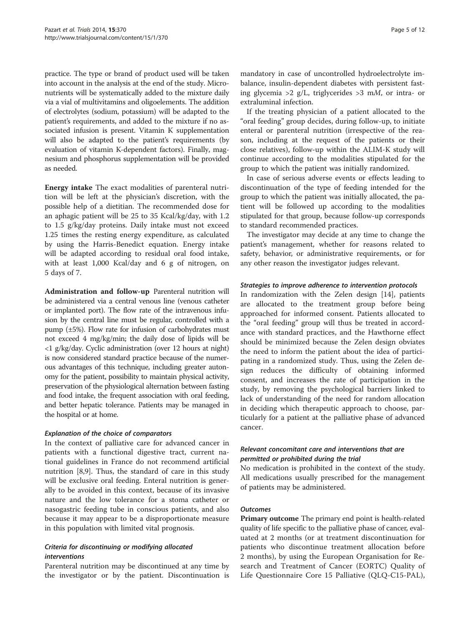practice. The type or brand of product used will be taken into account in the analysis at the end of the study. Micronutrients will be systematically added to the mixture daily via a vial of multivitamins and oligoelements. The addition of electrolytes (sodium, potassium) will be adapted to the patient's requirements, and added to the mixture if no associated infusion is present. Vitamin K supplementation will also be adapted to the patient's requirements (by evaluation of vitamin K-dependent factors). Finally, magnesium and phosphorus supplementation will be provided as needed.

Energy intake The exact modalities of parenteral nutrition will be left at the physician's discretion, with the possible help of a dietitian. The recommended dose for an aphagic patient will be 25 to 35 Kcal/kg/day, with 1.2 to 1.5 g/kg/day proteins. Daily intake must not exceed 1.25 times the resting energy expenditure, as calculated by using the Harris-Benedict equation. Energy intake will be adapted according to residual oral food intake, with at least 1,000 Kcal/day and 6 g of nitrogen, on 5 days of 7.

Administration and follow-up Parenteral nutrition will be administered via a central venous line (venous catheter or implanted port). The flow rate of the intravenous infusion by the central line must be regular, controlled with a pump (±5%). Flow rate for infusion of carbohydrates must not exceed 4 mg/kg/min; the daily dose of lipids will be <1 g/kg/day. Cyclic administration (over 12 hours at night) is now considered standard practice because of the numerous advantages of this technique, including greater autonomy for the patient, possibility to maintain physical activity, preservation of the physiological alternation between fasting and food intake, the frequent association with oral feeding, and better hepatic tolerance. Patients may be managed in the hospital or at home.

## Explanation of the choice of comparators

In the context of palliative care for advanced cancer in patients with a functional digestive tract, current national guidelines in France do not recommend artificial nutrition [\[8,9](#page-10-0)]. Thus, the standard of care in this study will be exclusive oral feeding. Enteral nutrition is generally to be avoided in this context, because of its invasive nature and the low tolerance for a stoma catheter or nasogastric feeding tube in conscious patients, and also because it may appear to be a disproportionate measure in this population with limited vital prognosis.

## Criteria for discontinuing or modifying allocated interventions

Parenteral nutrition may be discontinued at any time by the investigator or by the patient. Discontinuation is

mandatory in case of uncontrolled hydroelectrolyte imbalance, insulin-dependent diabetes with persistent fasting glycemia >2 g/L, triglycerides >3 mM, or intra- or extraluminal infection.

If the treating physician of a patient allocated to the "oral feeding" group decides, during follow-up, to initiate enteral or parenteral nutrition (irrespective of the reason, including at the request of the patients or their close relatives), follow-up within the ALIM-K study will continue according to the modalities stipulated for the group to which the patient was initially randomized.

In case of serious adverse events or effects leading to discontinuation of the type of feeding intended for the group to which the patient was initially allocated, the patient will be followed up according to the modalities stipulated for that group, because follow-up corresponds to standard recommended practices.

The investigator may decide at any time to change the patient's management, whether for reasons related to safety, behavior, or administrative requirements, or for any other reason the investigator judges relevant.

#### Strategies to improve adherence to intervention protocols

In randomization with the Zelen design [\[14\]](#page-10-0), patients are allocated to the treatment group before being approached for informed consent. Patients allocated to the "oral feeding" group will thus be treated in accordance with standard practices, and the Hawthorne effect should be minimized because the Zelen design obviates the need to inform the patient about the idea of participating in a randomized study. Thus, using the Zelen design reduces the difficulty of obtaining informed consent, and increases the rate of participation in the study, by removing the psychological barriers linked to lack of understanding of the need for random allocation in deciding which therapeutic approach to choose, particularly for a patient at the palliative phase of advanced cancer.

## Relevant concomitant care and interventions that are permitted or prohibited during the trial

No medication is prohibited in the context of the study. All medications usually prescribed for the management of patients may be administered.

## **Outcomes**

**Primary outcome** The primary end point is health-related quality of life specific to the palliative phase of cancer, evaluated at 2 months (or at treatment discontinuation for patients who discontinue treatment allocation before 2 months), by using the European Organisation for Research and Treatment of Cancer (EORTC) Quality of Life Questionnaire Core 15 Palliative (QLQ-C15-PAL),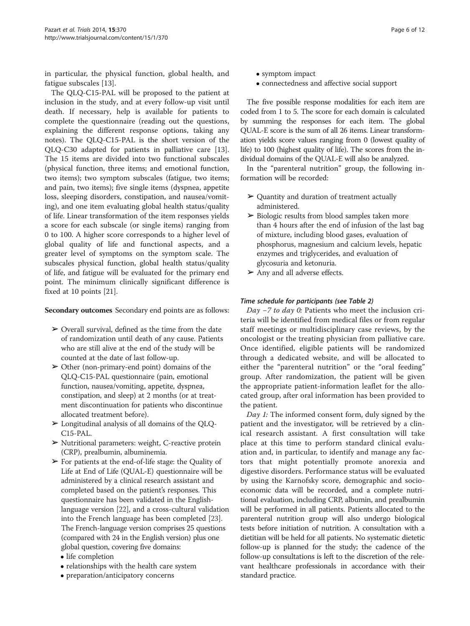in particular, the physical function, global health, and fatigue subscales [[13\]](#page-10-0).

The QLQ-C15-PAL will be proposed to the patient at inclusion in the study, and at every follow-up visit until death. If necessary, help is available for patients to complete the questionnaire (reading out the questions, explaining the different response options, taking any notes). The QLQ-C15-PAL is the short version of the QLQ-C30 adapted for patients in palliative care [\[13](#page-10-0)]. The 15 items are divided into two functional subscales (physical function, three items; and emotional function, two items); two symptom subscales (fatigue, two items; and pain, two items); five single items (dyspnea, appetite loss, sleeping disorders, constipation, and nausea/vomiting), and one item evaluating global health status/quality of life. Linear transformation of the item responses yields a score for each subscale (or single items) ranging from 0 to 100. A higher score corresponds to a higher level of global quality of life and functional aspects, and a greater level of symptoms on the symptom scale. The subscales physical function, global health status/quality of life, and fatigue will be evaluated for the primary end point. The minimum clinically significant difference is fixed at 10 points [\[21\]](#page-11-0).

Secondary outcomes Secondary end points are as follows:

- ➢ Overall survival, defined as the time from the date of randomization until death of any cause. Patients who are still alive at the end of the study will be counted at the date of last follow-up.
- ➢ Other (non-primary-end point) domains of the QLQ-C15-PAL questionnaire (pain, emotional function, nausea/vomiting, appetite, dyspnea, constipation, and sleep) at 2 months (or at treatment discontinuation for patients who discontinue allocated treatment before).
- $\triangleright$  Longitudinal analysis of all domains of the QLQ-C15-PAL.
- ➢ Nutritional parameters: weight, C-reactive protein (CRP), prealbumin, albuminemia.
- ➢ For patients at the end-of-life stage: the Quality of Life at End of Life (QUAL-E) questionnaire will be administered by a clinical research assistant and completed based on the patient's responses. This questionnaire has been validated in the Englishlanguage version [[22](#page-11-0)], and a cross-cultural validation into the French language has been completed [\[23\]](#page-11-0). The French-language version comprises 25 questions (compared with 24 in the English version) plus one global question, covering five domains:
	- life completion
	- relationships with the health care system
	- preparation/anticipatory concerns
- symptom impact
- connectedness and affective social support

The five possible response modalities for each item are coded from 1 to 5. The score for each domain is calculated by summing the responses for each item. The global QUAL-E score is the sum of all 26 items. Linear transformation yields score values ranging from 0 (lowest quality of life) to 100 (highest quality of life). The scores from the individual domains of the QUAL-E will also be analyzed.

In the "parenteral nutrition" group, the following information will be recorded:

- ➢ Quantity and duration of treatment actually administered.
- ➢ Biologic results from blood samples taken more than 4 hours after the end of infusion of the last bag of mixture, including blood gases, evaluation of phosphorus, magnesium and calcium levels, hepatic enzymes and triglycerides, and evaluation of glycosuria and ketonuria.
- ➢ Any and all adverse effects.

## Time schedule for participants (see Table [2\)](#page-6-0)

Day −7 to day 0: Patients who meet the inclusion criteria will be identified from medical files or from regular staff meetings or multidisciplinary case reviews, by the oncologist or the treating physician from palliative care. Once identified, eligible patients will be randomized through a dedicated website, and will be allocated to either the "parenteral nutrition" or the "oral feeding" group. After randomization, the patient will be given the appropriate patient-information leaflet for the allocated group, after oral information has been provided to the patient.

Day 1: The informed consent form, duly signed by the patient and the investigator, will be retrieved by a clinical research assistant. A first consultation will take place at this time to perform standard clinical evaluation and, in particular, to identify and manage any factors that might potentially promote anorexia and digestive disorders. Performance status will be evaluated by using the Karnofsky score, demographic and socioeconomic data will be recorded, and a complete nutritional evaluation, including CRP, albumin, and prealbumin will be performed in all patients. Patients allocated to the parenteral nutrition group will also undergo biological tests before initiation of nutrition. A consultation with a dietitian will be held for all patients. No systematic dietetic follow-up is planned for the study; the cadence of the follow-up consultations is left to the discretion of the relevant healthcare professionals in accordance with their standard practice.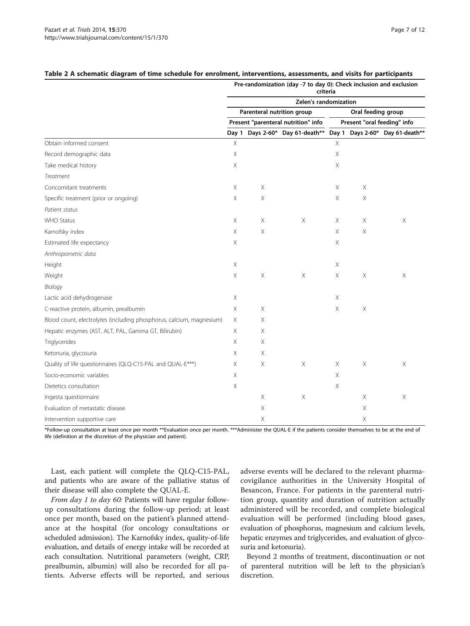|                                                                      | criteria<br>Zelen's randomization   |                            |                                 |                             |                    |                                 |  |
|----------------------------------------------------------------------|-------------------------------------|----------------------------|---------------------------------|-----------------------------|--------------------|---------------------------------|--|
|                                                                      |                                     |                            |                                 |                             |                    |                                 |  |
|                                                                      |                                     | Parenteral nutrition group |                                 |                             | Oral feeding group |                                 |  |
|                                                                      | Present "parenteral nutrition" info |                            |                                 | Present "oral feeding" info |                    |                                 |  |
|                                                                      |                                     |                            | Day 1 Days 2-60* Day 61-death** |                             |                    | Day 1 Days 2-60* Day 61-death** |  |
| Obtain informed consent                                              | $\times$                            |                            |                                 | $\times$                    |                    |                                 |  |
| Record demographic data                                              | $\boldsymbol{\mathsf{X}}$           |                            |                                 | X                           |                    |                                 |  |
| Take medical history                                                 | Χ                                   |                            |                                 | Χ                           |                    |                                 |  |
| <b>Treatment</b>                                                     |                                     |                            |                                 |                             |                    |                                 |  |
| Concomitant treatments                                               | X                                   | X                          |                                 | X                           | X                  |                                 |  |
| Specific treatment (prior or ongoing)                                | Χ                                   | X                          |                                 | X                           | X                  |                                 |  |
| Patient status                                                       |                                     |                            |                                 |                             |                    |                                 |  |
| <b>WHO Status</b>                                                    | X                                   | X                          | X                               | X                           | X                  | Χ                               |  |
| Karnofsky index                                                      | X                                   | X                          |                                 | X                           | X                  |                                 |  |
| Estimated life expectancy                                            | Χ                                   |                            |                                 | Χ                           |                    |                                 |  |
| Anthropometric data                                                  |                                     |                            |                                 |                             |                    |                                 |  |
| Height                                                               | $\times$                            |                            |                                 | X                           |                    |                                 |  |
| Weight                                                               | $\times$                            | X                          | X                               | Χ                           | X                  | X                               |  |
| Biology                                                              |                                     |                            |                                 |                             |                    |                                 |  |
| Lactic acid dehydrogenase                                            | $\times$                            |                            |                                 | X                           |                    |                                 |  |
| C-reactive protein, albumin, prealbumin                              | X                                   | X                          |                                 | Χ                           | X                  |                                 |  |
| Blood count, electrolytes (including phosphorus, calcium, magnesium) | X                                   | X                          |                                 |                             |                    |                                 |  |
| Hepatic enzymes (AST, ALT, PAL, Gamma GT, Bilirubin)                 | X                                   | X                          |                                 |                             |                    |                                 |  |
| Triglycerides                                                        | X                                   | X                          |                                 |                             |                    |                                 |  |
| Ketonuria, glycosuria                                                | X                                   | X                          |                                 |                             |                    |                                 |  |
| Quality of life questionnaires (QLQ-C15-PAL and QUAL-E***)           | X                                   | X                          | $\mathsf X$                     | X                           | X                  | X                               |  |
| Socio-economic variables                                             | X                                   |                            |                                 | X                           |                    |                                 |  |
| Dietetics consultation                                               | Χ                                   |                            |                                 | Χ                           |                    |                                 |  |
| Ingesta questionnaire                                                |                                     | Χ                          | X                               |                             | Χ                  | Χ                               |  |
| Evaluation of metastatic disease                                     |                                     | X                          |                                 |                             | X                  |                                 |  |
| Intervention supportive care                                         |                                     | X                          |                                 |                             | Χ                  |                                 |  |

#### <span id="page-6-0"></span>Table 2 A schematic diagram of time schedule for enrolment, interventions, assessments, and visits for participants

\*Follow-up consultation at least once per month \*\*Evaluation once per month. \*\*\*Administer the QUAL-E if the patients consider themselves to be at the end of life (definition at the discretion of the physician and patient).

Last, each patient will complete the QLQ-C15-PAL, and patients who are aware of the palliative status of their disease will also complete the QUAL-E.

From day 1 to day 60: Patients will have regular followup consultations during the follow-up period; at least once per month, based on the patient's planned attendance at the hospital (for oncology consultations or scheduled admission). The Karnofsky index, quality-of-life evaluation, and details of energy intake will be recorded at each consultation. Nutritional parameters (weight, CRP, prealbumin, albumin) will also be recorded for all patients. Adverse effects will be reported, and serious adverse events will be declared to the relevant pharmacovigilance authorities in the University Hospital of Besancon, France. For patients in the parenteral nutrition group, quantity and duration of nutrition actually administered will be recorded, and complete biological evaluation will be performed (including blood gases, evaluation of phosphorus, magnesium and calcium levels, hepatic enzymes and triglycerides, and evaluation of glycosuria and ketonuria).

Beyond 2 months of treatment, discontinuation or not of parenteral nutrition will be left to the physician's discretion.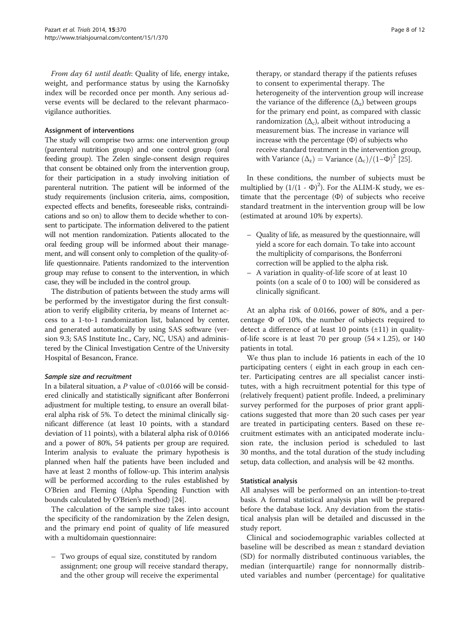From day 61 until death: Quality of life, energy intake, weight, and performance status by using the Karnofsky index will be recorded once per month. Any serious adverse events will be declared to the relevant pharmacovigilance authorities.

## Assignment of interventions

The study will comprise two arms: one intervention group (parenteral nutrition group) and one control group (oral feeding group). The Zelen single-consent design requires that consent be obtained only from the intervention group, for their participation in a study involving initiation of parenteral nutrition. The patient will be informed of the study requirements (inclusion criteria, aims, composition, expected effects and benefits, foreseeable risks, contraindications and so on) to allow them to decide whether to consent to participate. The information delivered to the patient will not mention randomization. Patients allocated to the oral feeding group will be informed about their management, and will consent only to completion of the quality-oflife questionnaire. Patients randomized to the intervention group may refuse to consent to the intervention, in which case, they will be included in the control group.

The distribution of patients between the study arms will be performed by the investigator during the first consultation to verify eligibility criteria, by means of Internet access to a 1-to-1 randomization list, balanced by center, and generated automatically by using SAS software (version 9.3; SAS Institute Inc., Cary, NC, USA) and administered by the Clinical Investigation Centre of the University Hospital of Besancon, France.

#### Sample size and recruitment

In a bilateral situation, a  $P$  value of <0.0166 will be considered clinically and statistically significant after Bonferroni adjustment for multiple testing, to ensure an overall bilateral alpha risk of 5%. To detect the minimal clinically significant difference (at least 10 points, with a standard deviation of 11 points), with a bilateral alpha risk of 0.0166 and a power of 80%, 54 patients per group are required. Interim analysis to evaluate the primary hypothesis is planned when half the patients have been included and have at least 2 months of follow-up. This interim analysis will be performed according to the rules established by O'Brien and Fleming (Alpha Spending Function with bounds calculated by O'Brien's method) [\[24\]](#page-11-0).

The calculation of the sample size takes into account the specificity of the randomization by the Zelen design, and the primary end point of quality of life measured with a multidomain questionnaire:

– Two groups of equal size, constituted by random assignment; one group will receive standard therapy, and the other group will receive the experimental

therapy, or standard therapy if the patients refuses to consent to experimental therapy. The heterogeneity of the intervention group will increase the variance of the difference  $(\Delta_z)$  between groups for the primary end point, as compared with classic randomization  $(\Delta_c)$ , albeit without introducing a measurement bias. The increase in variance will increase with the percentage  $(\Phi)$  of subjects who receive standard treatment in the intervention group, with Variance  $(\Delta_z) = \text{Variance } (\Delta_c) / (1-\Phi)^2$  [[25](#page-11-0)].

In these conditions, the number of subjects must be multiplied by  $(1/(1 - \Phi)^2)$ . For the ALIM-K study, we estimate that the percentage (Φ) of subjects who receive standard treatment in the intervention group will be low (estimated at around 10% by experts).

- Quality of life, as measured by the questionnaire, will yield a score for each domain. To take into account the multiplicity of comparisons, the Bonferroni correction will be applied to the alpha risk.
- A variation in quality-of-life score of at least 10 points (on a scale of 0 to 100) will be considered as clinically significant.

At an alpha risk of 0.0166, power of 80%, and a percentage Φ of 10%, the number of subjects required to detect a difference of at least 10 points  $(\pm 11)$  in qualityof-life score is at least 70 per group  $(54 \times 1.25)$ , or 140 patients in total.

We thus plan to include 16 patients in each of the 10 participating centers ( eight in each group in each center. Participating centres are all specialist cancer institutes, with a high recruitment potential for this type of (relatively frequent) patient profile. Indeed, a preliminary survey performed for the purposes of prior grant applications suggested that more than 20 such cases per year are treated in participating centers. Based on these recruitment estimates with an anticipated moderate inclusion rate, the inclusion period is scheduled to last 30 months, and the total duration of the study including setup, data collection, and analysis will be 42 months.

## Statistical analysis

All analyses will be performed on an intention-to-treat basis. A formal statistical analysis plan will be prepared before the database lock. Any deviation from the statistical analysis plan will be detailed and discussed in the study report.

Clinical and sociodemographic variables collected at baseline will be described as mean ± standard deviation (SD) for normally distributed continuous variables, the median (interquartile) range for nonnormally distributed variables and number (percentage) for qualitative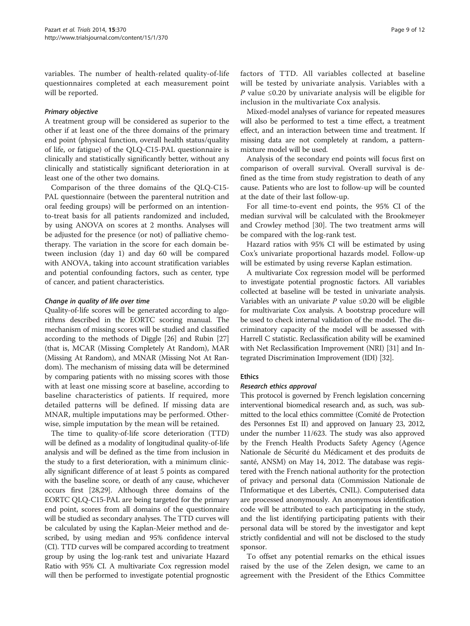variables. The number of health-related quality-of-life questionnaires completed at each measurement point will be reported.

## Primary objective

A treatment group will be considered as superior to the other if at least one of the three domains of the primary end point (physical function, overall health status/quality of life, or fatigue) of the QLQ-C15-PAL questionnaire is clinically and statistically significantly better, without any clinically and statistically significant deterioration in at least one of the other two domains.

Comparison of the three domains of the QLQ-C15- PAL questionnaire (between the parenteral nutrition and oral feeding groups) will be performed on an intentionto-treat basis for all patients randomized and included, by using ANOVA on scores at 2 months. Analyses will be adjusted for the presence (or not) of palliative chemotherapy. The variation in the score for each domain between inclusion (day 1) and day 60 will be compared with ANOVA, taking into account stratification variables and potential confounding factors, such as center, type of cancer, and patient characteristics.

#### Change in quality of life over time

Quality-of-life scores will be generated according to algorithms described in the EORTC scoring manual. The mechanism of missing scores will be studied and classified according to the methods of Diggle [\[26\]](#page-11-0) and Rubin [[27](#page-11-0)] (that is, MCAR (Missing Completely At Random), MAR (Missing At Random), and MNAR (Missing Not At Random). The mechanism of missing data will be determined by comparing patients with no missing scores with those with at least one missing score at baseline, according to baseline characteristics of patients. If required, more detailed patterns will be defined. If missing data are MNAR, multiple imputations may be performed. Otherwise, simple imputation by the mean will be retained.

The time to quality-of-life score deterioration (TTD) will be defined as a modality of longitudinal quality-of-life analysis and will be defined as the time from inclusion in the study to a first deterioration, with a minimum clinically significant difference of at least 5 points as compared with the baseline score, or death of any cause, whichever occurs first [[28,29](#page-11-0)]. Although three domains of the EORTC QLQ-C15-PAL are being targeted for the primary end point, scores from all domains of the questionnaire will be studied as secondary analyses. The TTD curves will be calculated by using the Kaplan-Meier method and described, by using median and 95% confidence interval (CI). TTD curves will be compared according to treatment group by using the log-rank test and univariate Hazard Ratio with 95% CI. A multivariate Cox regression model will then be performed to investigate potential prognostic factors of TTD. All variables collected at baseline will be tested by univariate analysis. Variables with a *P* value ≤0.20 by univariate analysis will be eligible for inclusion in the multivariate Cox analysis.

Mixed-model analyses of variance for repeated measures will also be performed to test a time effect, a treatment effect, and an interaction between time and treatment. If missing data are not completely at random, a patternmixture model will be used.

Analysis of the secondary end points will focus first on comparison of overall survival. Overall survival is defined as the time from study registration to death of any cause. Patients who are lost to follow-up will be counted at the date of their last follow-up.

For all time-to-event end points, the 95% CI of the median survival will be calculated with the Brookmeyer and Crowley method [\[30\]](#page-11-0). The two treatment arms will be compared with the log-rank test.

Hazard ratios with 95% CI will be estimated by using Cox's univariate proportional hazards model. Follow-up will be estimated by using reverse Kaplan estimation.

A multivariate Cox regression model will be performed to investigate potential prognostic factors. All variables collected at baseline will be tested in univariate analysis. Variables with an univariate  $P$  value  $\leq 0.20$  will be eligible for multivariate Cox analysis. A bootstrap procedure will be used to check internal validation of the model. The discriminatory capacity of the model will be assessed with Harrell C statistic. Reclassification ability will be examined with Net Reclassification Improvement (NRI) [\[31\]](#page-11-0) and Integrated Discrimination Improvement (IDI) [\[32\]](#page-11-0).

#### Ethics

#### Research ethics approval

This protocol is governed by French legislation concerning interventional biomedical research and, as such, was submitted to the local ethics committee (Comité de Protection des Personnes Est II) and approved on January 23, 2012, under the number 11/623. The study was also approved by the French Health Products Safety Agency (Agence Nationale de Sécurité du Médicament et des produits de santé, ANSM) on May 14, 2012. The database was registered with the French national authority for the protection of privacy and personal data (Commission Nationale de l'Informatique et des Libertés, CNIL). Computerised data are processed anonymously. An anonymous identification code will be attributed to each participating in the study, and the list identifying participating patients with their personal data will be stored by the investigator and kept strictly confidential and will not be disclosed to the study sponsor.

To offset any potential remarks on the ethical issues raised by the use of the Zelen design, we came to an agreement with the President of the Ethics Committee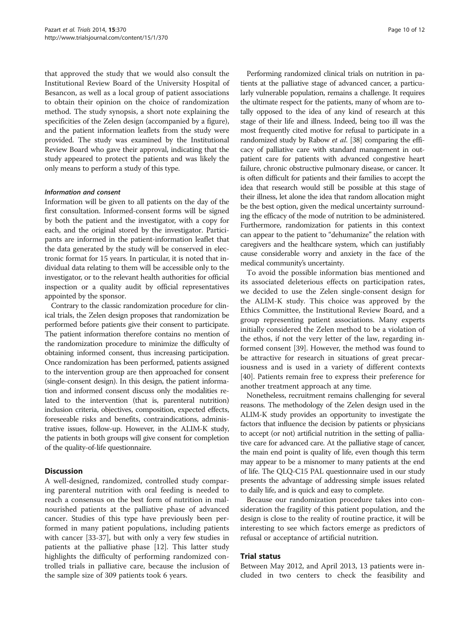that approved the study that we would also consult the Institutional Review Board of the University Hospital of Besancon, as well as a local group of patient associations to obtain their opinion on the choice of randomization method. The study synopsis, a short note explaining the specificities of the Zelen design (accompanied by a figure), and the patient information leaflets from the study were provided. The study was examined by the Institutional Review Board who gave their approval, indicating that the study appeared to protect the patients and was likely the only means to perform a study of this type.

#### Information and consent

Information will be given to all patients on the day of the first consultation. Informed-consent forms will be signed by both the patient and the investigator, with a copy for each, and the original stored by the investigator. Participants are informed in the patient-information leaflet that the data generated by the study will be conserved in electronic format for 15 years. In particular, it is noted that individual data relating to them will be accessible only to the investigator, or to the relevant health authorities for official inspection or a quality audit by official representatives appointed by the sponsor.

Contrary to the classic randomization procedure for clinical trials, the Zelen design proposes that randomization be performed before patients give their consent to participate. The patient information therefore contains no mention of the randomization procedure to minimize the difficulty of obtaining informed consent, thus increasing participation. Once randomization has been performed, patients assigned to the intervention group are then approached for consent (single-consent design). In this design, the patient information and informed consent discuss only the modalities related to the intervention (that is, parenteral nutrition) inclusion criteria, objectives, composition, expected effects, foreseeable risks and benefits, contraindications, administrative issues, follow-up. However, in the ALIM-K study, the patients in both groups will give consent for completion of the quality-of-life questionnaire.

## **Discussion**

A well-designed, randomized, controlled study comparing parenteral nutrition with oral feeding is needed to reach a consensus on the best form of nutrition in malnourished patients at the palliative phase of advanced cancer. Studies of this type have previously been performed in many patient populations, including patients with cancer [[33-37](#page-11-0)], but with only a very few studies in patients at the palliative phase [\[12](#page-10-0)]. This latter study highlights the difficulty of performing randomized controlled trials in palliative care, because the inclusion of the sample size of 309 patients took 6 years.

Performing randomized clinical trials on nutrition in patients at the palliative stage of advanced cancer, a particularly vulnerable population, remains a challenge. It requires the ultimate respect for the patients, many of whom are totally opposed to the idea of any kind of research at this stage of their life and illness. Indeed, being too ill was the most frequently cited motive for refusal to participate in a randomized study by Rabow et al. [[38](#page-11-0)] comparing the efficacy of palliative care with standard management in outpatient care for patients with advanced congestive heart failure, chronic obstructive pulmonary disease, or cancer. It is often difficult for patients and their families to accept the idea that research would still be possible at this stage of their illness, let alone the idea that random allocation might be the best option, given the medical uncertainty surrounding the efficacy of the mode of nutrition to be administered. Furthermore, randomization for patients in this context can appear to the patient to "dehumanize" the relation with caregivers and the healthcare system, which can justifiably cause considerable worry and anxiety in the face of the medical community's uncertainty.

To avoid the possible information bias mentioned and its associated deleterious effects on participation rates, we decided to use the Zelen single-consent design for the ALIM-K study. This choice was approved by the Ethics Committee, the Institutional Review Board, and a group representing patient associations. Many experts initially considered the Zelen method to be a violation of the ethos, if not the very letter of the law, regarding informed consent [\[39](#page-11-0)]. However, the method was found to be attractive for research in situations of great precariousness and is used in a variety of different contexts [[40\]](#page-11-0). Patients remain free to express their preference for another treatment approach at any time.

Nonetheless, recruitment remains challenging for several reasons. The methodology of the Zelen design used in the ALIM-K study provides an opportunity to investigate the factors that influence the decision by patients or physicians to accept (or not) artificial nutrition in the setting of palliative care for advanced care. At the palliative stage of cancer, the main end point is quality of life, even though this term may appear to be a misnomer to many patients at the end of life. The QLQ-C15 PAL questionnaire used in our study presents the advantage of addressing simple issues related to daily life, and is quick and easy to complete.

Because our randomization procedure takes into consideration the fragility of this patient population, and the design is close to the reality of routine practice, it will be interesting to see which factors emerge as predictors of refusal or acceptance of artificial nutrition.

## Trial status

Between May 2012, and April 2013, 13 patients were included in two centers to check the feasibility and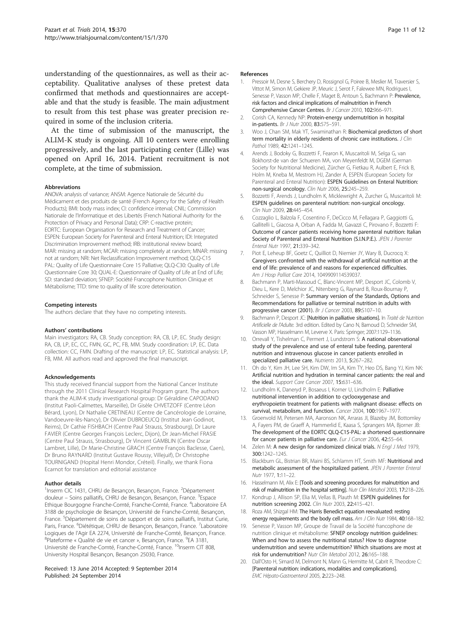<span id="page-10-0"></span>understanding of the questionnaires, as well as their acceptability. Qualitative analyses of these pretest data confirmed that methods and questionnaires are acceptable and that the study is feasible. The main adjustment to result from this test phase was greater precision required in some of the inclusion criteria.

At the time of submission of the manuscript, the ALIM-K study is ongoing. All 10 centers were enrolling progressively, and the last participating center (Lille) was opened on April 16, 2014. Patient recruitment is not complete, at the time of submission.

#### Abbreviations

ANOVA: analysis of variance; ANSM: Agence Nationale de Sécurité du Médicament et des produits de santé (French Agency for the Safety of Health Products); BMI: body mass index; CI: confidence interval; CNIL: Commission Nationale de l'Informatique et des Libertés (French National Authority for the Protection of Privacy and Personal Data); CRP: C-reactive protein; EORTC: European Organisation for Research and Treatment of Cancer; ESPEN: European Society for Parenteral and Enteral Nutrition; IDI: Integrated Discrimination Improvement method; IRB: institutional review board; MAR: missing at random; MCAR: missing completely at random; MNAR: missing not at random; NRI: Net Reclassification Improvement method; QLQ-C15 PAL: Quality of Life Questionnaire Core 15 Palliative; QLQ-C30: Quality of Life Questionnaire Core 30; QUAL-E: Questionnaire of Quality of Life at End of Life; SD: standard deviation; SFNEP: Société Francophone Nutrition Clinique et Métabolisme; TTD: time to quality of life score deterioration.

#### Competing interests

The authors declare that they have no competing interests.

#### Authors' contributions

Main investigators: RA, CB. Study conception: RA, CB, LP, EC. Study design: RA, CB, LP, EC, CC, FMN, GC, PC, FB, MM. Study coordination: LP, EC. Data collection: CC, FMN. Drafting of the manuscript: LP, EC. Statistical analysis: LP, FB, MM. All authors read and approved the final manuscript.

#### Acknowledgements

This study received financial support from the National Cancer Institute through the 2011 Clinical Research Hospital Program grant. The authors thank the ALIM-K study investigational group: Dr Géraldine CAPODANO (Institut Paoli-Calmettes, Marseille), Dr Gisèle CHVETZOFF (Centre Léon Bérard, Lyon), Dr Nathalie CRETINEAU (Centre de Cancérologie de Lorraine, Vandoeuvre-lès-Nancy), Dr Olivier DUBROEUCQ (Institut Jean Godinot, Reims), Dr Cathie FISHBACH (Centre Paul Strauss, Strasbourg), Dr Laure FAVIER (Centre Georges François Leclerc, Dijon), Dr Jean-Michel FRASIE (Centre Paul Strauss, Strasbourg), Dr Vincent GAMBLIN (Centre Oscar Lambret, Lille), Dr Marie-Christine GRACH (Centre François Baclesse, Caen), Dr Bruno RAYNARD (Institut Gustave Roussy, Villejuif), Dr Christophe TOURNIGAND (Hopital Henri Mondor, Créteil). Finally, we thank Fiona Ecarnot for translation and editorial assistance

#### Author details

<sup>1</sup> Inserm CIC 1431, CHRU de Besançon, Besançon, France. <sup>2</sup>Département douleur – Soins palliatifs, CHRU de Besançon, Besançon, France. <sup>3</sup>Espace Ethique Bourgogne Franche-Comté, Franche-Comté, France. <sup>4</sup>Laboratoire EA 3188 de psychologie de Besançon, Université de Franche-Comté, Besançon, France. <sup>5</sup>Département de soins de support et de soins palliatifs, Institut Curie, Paris, France. <sup>6</sup>Diététique, CHRU de Besançon, Besançon, France. <sup>7</sup>Laboratoire Logiques de l'Agir EA 2274, Université de Franche-Comté, Besançon, France. Plateforme « Qualité de vie et cancer », Besançon, France. <sup>9</sup>EA 3181, Université de Franche-Comté, Franche-Comté, France. <sup>10</sup>Inserm CIT 808, University Hospital Besançon, Besançon 25030, France.

#### Received: 13 June 2014 Accepted: 9 September 2014 Published: 24 September 2014

#### References

- 1. Pressoir M, Desne S, Berchery D, Rossignol G, Poiree B, Meslier M, Traversier S, Vittot M, Simon M, Gekiere JP, Meuric J, Serot F, Falewee MN, Rodrigues I, Senesse P, Vasson MP, Chelle F, Maget B, Antoun S, Bachmann P: Prevalence, risk factors and clinical implications of malnutrition in French Comprehensive Cancer Centres. Br J Cancer 2010, 102:966–971.
- 2. Corish CA, Kennedy NP: Protein-energy undernutrition in hospital in-patients. Br J Nutr 2000, 83:575–591.
- 3. Woo J, Chan SM, Mak YT, Swaminathan R: Biochemical predictors of short term mortality in elderly residents of chronic care institutions. J Clin Pathol 1989 **42:**1241-1245.
- 4. Arends J, Bodoky G, Bozzetti F, Fearon K, Muscaritoli M, Selga G, van Bokhorst-de van der Schueren MA, von Meyenfeldt M, DGEM (German Society for Nutritional Medicine), Zürcher G, Fietkau R, Aulbert E, Frick B, Holm M, Kneba M, Mestrom HJ, Zander A, ESPEN (European Society for Parenteral and Enteral Nutrition): ESPEN Guidelines on Enteral Nutrition: non-surgical oncology. Clin Nutr 2006, 25:245–259.
- 5. Bozzetti F, Arends J, Lundholm K, Micklewright A, Zurcher G, Muscaritoli M: ESPEN guidelines on parenteral nutrition: non-surgical oncology. Clin Nutr 2009, 28:445–454.
- 6. Cozzaglio L, Balzola F, Cosentino F, DeCicco M, Fellagara P, Gaggiotti G, Gallitelli L, Giacosa A, Orban A, Fadda M, Gavazzi C, Pirovano F, Bozzetti F: Outcome of cancer patients receiving home parenteral nutrition: Italian Society of Parenteral and Enteral Nutrition (S.I.N.P.E.). JPEN J Parenter Enteral Nutr 1997, 21:339–342.
- 7. Piot E, Leheup BF, Goetz C, Quilliot D, Niemier JY, Wary B, Ducrocq X: Caregivers confronted with the withdrawal of artificial nutrition at the end of life: prevalence of and reasons for experienced difficulties. Am J Hosp Palliat Care 2014, 1049909114539037.
- 8. Bachmann P, Marti-Massoud C, Blanc-Vincent MP, Desport JC, Colomb V, Dieu L, Kere D, Melchior JC, Nitenberg G, Raynard B, Roux-Bournay P, Schneider S, Senesse P: Summary version of the Standards, Options and Recommendations for palliative or terminal nutrition in adults with progressive cancer (2001). Br J Cancer 2003, 89:S107–10.
- 9. Bachmann P, Desport JC: [Nutrition in palliative situations]. In Traité de Nutrition Artificielle de l'Adulte. 3rd edition. Edited by Cano N, Barnoud D, Schneider SM, Vasson MP, Hasselmann M, Leverve X. Paris: Springer; 2007:1129–1136.
- 10. Orrevall Y, Tishelman C, Permert J, Lundstrom S: A national observational study of the prevalence and use of enteral tube feeding, parenteral nutrition and intravenous glucose in cancer patients enrolled in specialized palliative care. Nutrients 2013, 5:267–282.
- 11. Oh do Y, Kim JH, Lee SH, Kim DW, Im SA, Kim TY, Heo DS, Bang YJ, Kim NK: Artificial nutrition and hydration in terminal cancer patients: the real and the ideal. Support Care Cancer 2007, 15:631–636.
- 12. Lundholm K, Daneryd P, Bosaeus I, Korner U, Lindholm E: Palliative nutritional intervention in addition to cyclooxygenase and erythropoietin treatment for patients with malignant disease: effects on survival, metabolism, and function. Cancer 2004, 100:1967–1977.
- 13. Groenvold M, Petersen MA, Aaronson NK, Arraras JI, Blazeby JM, Bottomley A, Fayers PM, de Graeff A, Hammerlid E, Kaasa S, Sprangers MA, Bjorner JB: The development of the EORTC QLQ-C15-PAL: a shortened questionnaire for cancer patients in palliative care. Eur J Cancer 2006, 42:55-64.
- 14. Zelen M: A new design for randomized clinical trials. N Engl J Med 1979, 300:1242–1245.
- 15. Blackburn GL, Bistrian BR, Maini BS, Schlamm HT, Smith MF: Nutritional and metabolic assessment of the hospitalized patient. JPEN J Parenter Enteral Nutr 1977, 1:11–22.
- 16. Hasselmann M, Alix E: [Tools and screening procedures for malnutrition and risk of malnutrition in the hospital setting]. Nutr Clin Metabol 2003, 17:218–226.
- 17. Kondrup J, Allison SP, Elia M, Vellas B, Plauth M: ESPEN quidelines for nutrition screening 2002. Clin Nutr 2003, 22:415–421.
- 18. Roza AM, Shizgal HM: The Harris Benedict equation reevaluated: resting energy requirements and the body cell mass. Am J Clin Nutr 1984, 40:168-182.
- 19. Senesse P, Vasson MP, Groupe de Travail de la Société francophone de nutrition clinique et métabolisme: SFNEP oncology nutrition guidelines: When and how to assess the nutritional status? How to diagnose undernutrition and severe undernutrition? Which situations are most at risk for undernutrition? Nutr Clin Metabol 2012, 26:165–188.
- 20. Dall'Osto H, Simard M, Delmont N, Mann G, Hermitte M, Cabrit R, Theodore C: [Parenteral nutrition: indications, modalities and complications]. EMC Hépato-Gastroenterol 2005, 2:223–248.